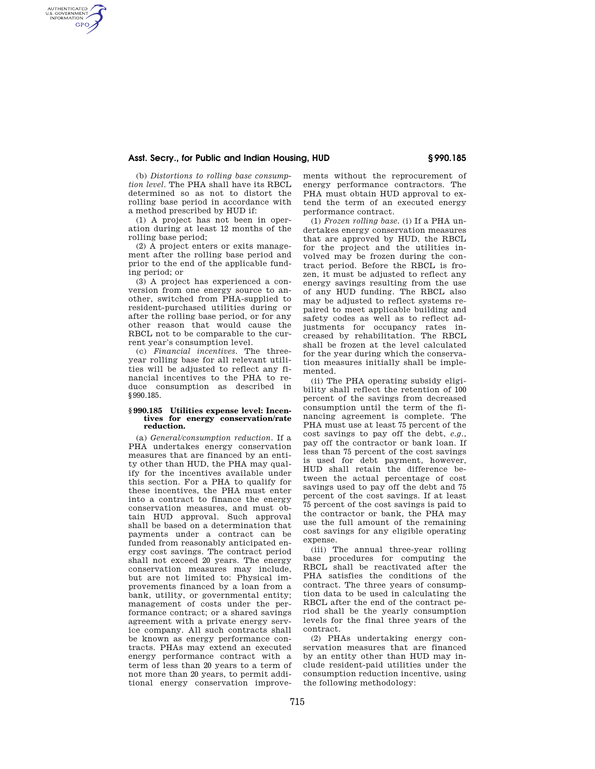# **Asst. Secry., for Public and Indian Housing, HUD § 990.185**

(b) *Distortions to rolling base consumption level.* The PHA shall have its RBCL determined so as not to distort the rolling base period in accordance with a method prescribed by HUD if:

AUTHENTICATED<br>U.S. GOVERNMENT<br>INFORMATION **GPO** 

> (1) A project has not been in operation during at least 12 months of the rolling base period;

> (2) A project enters or exits management after the rolling base period and prior to the end of the applicable funding period; or

> (3) A project has experienced a conversion from one energy source to another, switched from PHA-supplied to resident-purchased utilities during or after the rolling base period, or for any other reason that would cause the RBCL not to be comparable to the current year's consumption level.

> (c) *Financial incentives.* The threeyear rolling base for all relevant utilities will be adjusted to reflect any financial incentives to the PHA to reduce consumption as described in §990.185.

#### **§ 990.185 Utilities expense level: Incentives for energy conservation/rate reduction.**

(a) *General/consumption reduction.* If a PHA undertakes energy conservation measures that are financed by an entity other than HUD, the PHA may qualify for the incentives available under this section. For a PHA to qualify for these incentives, the PHA must enter into a contract to finance the energy conservation measures, and must obtain HUD approval. Such approval shall be based on a determination that payments under a contract can be funded from reasonably anticipated energy cost savings. The contract period shall not exceed 20 years. The energy conservation measures may include, but are not limited to: Physical improvements financed by a loan from a bank, utility, or governmental entity; management of costs under the performance contract; or a shared savings agreement with a private energy service company. All such contracts shall be known as energy performance contracts. PHAs may extend an executed energy performance contract with a term of less than 20 years to a term of not more than 20 years, to permit additional energy conservation improvements without the reprocurement of energy performance contractors. The PHA must obtain HUD approval to extend the term of an executed energy performance contract.

(1) *Frozen rolling base.* (i) If a PHA undertakes energy conservation measures that are approved by HUD, the RBCL for the project and the utilities involved may be frozen during the contract period. Before the RBCL is frozen, it must be adjusted to reflect any energy savings resulting from the use of any HUD funding. The RBCL also may be adjusted to reflect systems repaired to meet applicable building and safety codes as well as to reflect adjustments for occupancy rates increased by rehabilitation. The RBCL shall be frozen at the level calculated for the year during which the conservation measures initially shall be implemented.

(ii) The PHA operating subsidy eligibility shall reflect the retention of 100 percent of the savings from decreased consumption until the term of the financing agreement is complete. The PHA must use at least 75 percent of the cost savings to pay off the debt, *e.g.*, pay off the contractor or bank loan. If less than 75 percent of the cost savings is used for debt payment, however, HUD shall retain the difference between the actual percentage of cost savings used to pay off the debt and 75 percent of the cost savings. If at least 75 percent of the cost savings is paid to the contractor or bank, the PHA may use the full amount of the remaining cost savings for any eligible operating expense.

(iii) The annual three-year rolling base procedures for computing the RBCL shall be reactivated after the PHA satisfies the conditions of the contract. The three years of consumption data to be used in calculating the RBCL after the end of the contract period shall be the yearly consumption levels for the final three years of the contract.

(2) PHAs undertaking energy conservation measures that are financed by an entity other than HUD may include resident-paid utilities under the consumption reduction incentive, using the following methodology: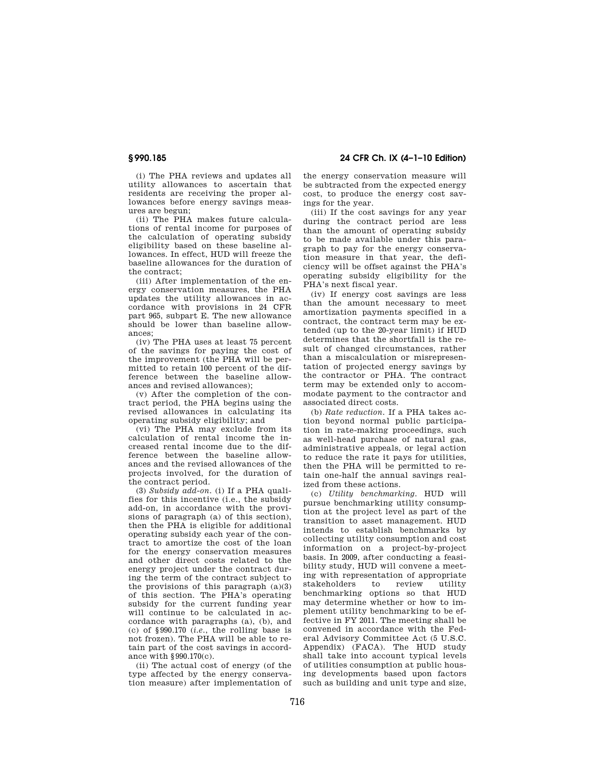# **§ 990.185 24 CFR Ch. IX (4–1–10 Edition)**

(i) The PHA reviews and updates all utility allowances to ascertain that residents are receiving the proper allowances before energy savings measures are begun;

(ii) The PHA makes future calculations of rental income for purposes of the calculation of operating subsidy eligibility based on these baseline allowances. In effect, HUD will freeze the baseline allowances for the duration of the contract;

(iii) After implementation of the energy conservation measures, the PHA updates the utility allowances in accordance with provisions in 24 CFR part 965, subpart E. The new allowance should be lower than baseline allowances;

(iv) The PHA uses at least 75 percent of the savings for paying the cost of the improvement (the PHA will be permitted to retain 100 percent of the difference between the baseline allowances and revised allowances);

(v) After the completion of the contract period, the PHA begins using the revised allowances in calculating its operating subsidy eligibility; and

(vi) The PHA may exclude from its calculation of rental income the increased rental income due to the difference between the baseline allowances and the revised allowances of the projects involved, for the duration of the contract period.

(3) *Subsidy add-on.* (i) If a PHA qualifies for this incentive (i.e., the subsidy add-on, in accordance with the provisions of paragraph (a) of this section), then the PHA is eligible for additional operating subsidy each year of the contract to amortize the cost of the loan for the energy conservation measures and other direct costs related to the energy project under the contract during the term of the contract subject to the provisions of this paragraph  $(a)(3)$ of this section. The PHA's operating subsidy for the current funding year will continue to be calculated in accordance with paragraphs (a), (b), and (c) of §990.170 (*i.e.*, the rolling base is not frozen). The PHA will be able to retain part of the cost savings in accordance with §990.170(c).

(ii) The actual cost of energy (of the type affected by the energy conservation measure) after implementation of the energy conservation measure will be subtracted from the expected energy cost, to produce the energy cost savings for the year.

(iii) If the cost savings for any year during the contract period are less than the amount of operating subsidy to be made available under this paragraph to pay for the energy conservation measure in that year, the deficiency will be offset against the PHA's operating subsidy eligibility for the PHA's next fiscal year.

(iv) If energy cost savings are less than the amount necessary to meet amortization payments specified in a contract, the contract term may be extended (up to the 20-year limit) if HUD determines that the shortfall is the result of changed circumstances, rather than a miscalculation or misrepresentation of projected energy savings by the contractor or PHA. The contract term may be extended only to accommodate payment to the contractor and associated direct costs.

(b) *Rate reduction.* If a PHA takes action beyond normal public participation in rate-making proceedings, such as well-head purchase of natural gas, administrative appeals, or legal action to reduce the rate it pays for utilities, then the PHA will be permitted to retain one-half the annual savings realized from these actions.

(c) *Utility benchmarking.* HUD will pursue benchmarking utility consumption at the project level as part of the transition to asset management. HUD intends to establish benchmarks by collecting utility consumption and cost information on a project-by-project basis. In 2009, after conducting a feasibility study, HUD will convene a meeting with representation of appropriate stakeholders to review utility benchmarking options so that HUD may determine whether or how to implement utility benchmarking to be effective in FY 2011. The meeting shall be convened in accordance with the Federal Advisory Committee Act (5 U.S.C. Appendix) (FACA). The HUD study shall take into account typical levels of utilities consumption at public housing developments based upon factors such as building and unit type and size,